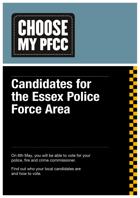

# Candidates for the Essex Police Force Area

On 6th May, you will be able to vote for your police, fire and crime commissioner.

Find out who your local candidates are and how to vote.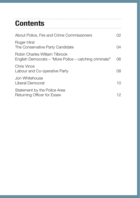# **Contents**

| About Police, Fire and Crime Commissioners                                                | 02 |
|-------------------------------------------------------------------------------------------|----|
| Roger Hirst<br>The Conservative Party Candidate                                           | Ω4 |
| Robin Charles William Tilbrook<br>English Democrats – "More Police – catching criminals!" | 06 |
| Chris Vince<br>Labour and Co-operative Party                                              | 08 |
| Jon Whitehouse<br>Liberal Democrat                                                        | 10 |
| Statement by the Police Area<br>Returning Officer for Essex                               | 12 |

--------------------------------------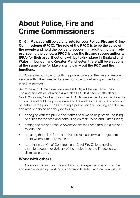## <span id="page-3-0"></span>About Police, Fire and Crime Commissioners

On 6th May, you will be able to vote for your Police, Fire and Crime Commissioner (PFCC). The role of the PFCC is to be the voice of the people and hold the police to account. In addition to their role overseeing the police, a PFCC is also the fire and rescue authority (FRA) for their area. Elections will be taking place in England and Wales. In London and Greater Manchester, there will be elections at the same time for Mayors who carry out the PCC and fire functions.

PFCCs are responsible for both the police force and the fire and rescue service within their area and are responsible for delivering efficient and effective services.

39 Police and Crime Commissioners (PCCs) will be elected across England and Wales, of which 4 are also PFCCs (Essex, Staffordshire, North Yorkshire, Northamptonshire). PFCCs are elected by you and aim to cut crime and hold the police force and fire and rescue service to account on behalf of the public. PFCCs bring a public voice to policing and the fire and rescue service and they do this by:

- engaging with the public and victims of crime to help set the policing priorities for the area and consulting on their Police and Crime Plans;
- setting the fire and rescue objectives for their area through a fire and rescue plan;
- ensuring the police force and fire and rescue service budgets are spent where it matters most; and
- appointing the Chief Constable and Chief Fire Officer, holding them to account for delivery of their objectives and if necessary, dismissing them.

#### Work with others

PFCCs also work with your council and other organisations to promote and enable joined up working on community safety and criminal justice.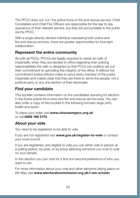The PFCC does not 'run' the police force or fire and rescue service. Chief Constables and Chief Fire Officers are responsible for the day to day operations of their relevant service, but they are accountable to the public via the PFCC.

With a single directly elected individual overseeing both police and fire and rescue services, there are greater opportunities for blue light collaboration.

### Represent the entire community

As with all PCCs, PFCCs are legally required to swear an oath of impartiality when they are elected to office regarding their policing responsibilities the oath is designed so that PCCs can publicly set out their commitment to upholding the integrity of the office. It reflects the commitment police officers make to serve every member of the public impartially and makes clear that they are there to serve the people, not a political party or any one section of their electorate.

### Find your candidate

This booklet contains information on the candidates standing for election in the Essex police force area and fire and rescue service area. You can also order a copy of this booklet in the following formats: large print, braille and audio.

To place your order visit [www.choosemypcc.org.uk](http://www.choosemypcc.org.uk) or call 0808 196 2170.

### About your vote

You need to be registered to be able to vote.

If you are not registered visit [www.gov.uk/register-to-vote](http://www.gov.uk/register-to-vote) or contact your local council.

If you are registered, and eligible to vote you can either vote in person at a polling station, by post, or by proxy (allowing someone you trust to vote on your behalf).

In this election you can vote for a first and second preference of who you want to win.

For more information about your vote and other elections taking place on 6th May visit [www.electoralcommission.org.uk/i-am-a/voter](http://www.electoralcommission.org.uk/i-am-a/voter)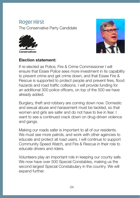### <span id="page-5-0"></span>**Roger Hirst**

The Conservative Party Candidate





#### Election statement:

If re-elected as Police, Fire & Crime Commissioner I will ensure that Essex Police sees more investment in its capability to prevent crime and get crime down, and that Essex Fire & Rescue is supported to protect people and prevent fires, flood hazards and road traffic collisions. I will provide funding for an additional 300 police officers, on top of the 500 we have already added.

Burglary, theft and robbery are coming down now. Domestic and sexual abuse and harassment must be tackled, so that women and girls are safer and do not have to live in fear. I want to see a continued crack down on drug-driven violence and gangs.

Making our roads safer is important to all of our residents. We must see more patrols, and work with other agencies to educate and protect all road users. I will continue to support Community Speed Watch, and Fire & Rescue in their role to educate drivers and riders.

Volunteers play an important role in keeping our county safe. We now have over 500 Special Constables, making us the second largest Special Constabulary in the country. We will expand further.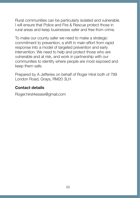Rural communities can be particularly isolated and vulnerable. I will ensure that Police and Fire & Rescue protect those in rural areas and keep businesses safer and free from crime.

To make our county safer we need to make a strategic commitment to prevention, a shift in main effort from rapid response into a model of targeted prevention and early intervention. We need to help and protect those who are vulnerable and at risk, and work in partnership with our communities to identify where people are most exposed and keep them safe.

Prepared by A Jefferies on behalf of Roger Hirst both of 799 London Road, Grays, RM20 3LH

### Contact details

Roger.hirst4essex@gmail.com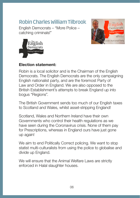### <span id="page-7-0"></span>**Robin Charles William Tilbrook**

English Democrats – "More Police – catching criminals!"





### Election statement:

Robin is a local solicitor and is the Chairman of the English Democrats. The English Democrats are the only campaigning English nationalist party, and are the foremost Party of Law and Order in England. We are also opposed to the British Establishment's attempts to break England up into bogus "Regions".

The British Government sends too much of our English taxes to Scotland and Wales, whilst asset-stripping England!

Scotland, Wales and Northern Ireland have their own Governments who control their health regulations as we have seen during the Coronavirus crisis. None of them pay for Prescriptions, whereas in England ours have just gone up again!

We aim to end Politically Correct policing. We want to stop statist multi-culturalists from using the police to globalise and divide up England.

We will ensure that the Animal Welfare Laws are strictly enforced in Halal slaughter houses.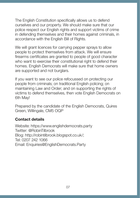The English Constitution specifically allows us to defend ourselves and our property. We should make sure that our police respect our English rights and support victims of crime in defending themselves and their homes against criminals, in accordance with the English Bill of Rights.

We will grant licences for carrying pepper sprays to allow people to protect themselves from attack. We will ensure firearms certificates are granted to people of good character who want to exercise their constitutional right to defend their homes. English Democrats will make sure that home owners are supported and not burglars.

If you want to see our police refocussed on protecting our people from criminals; on traditional English policing; on maintaining Law and Order; and on supporting the rights of victims to defend themselves, then vote English Democrats on 6th May!

Prepared by the candidate of the English Democrats, Quires Green, Willingale, CM5 OQP

### Contact details

Website: https://www.englishdemocrats.party Twitter: @RobinTilbrook Blog: http://robintilbrook.blogspot.co.uk/; Tel: 0207 242 1066 Email: Enquiries@EnglishDemocrats.Party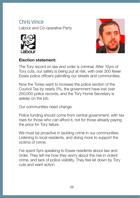### <span id="page-9-0"></span>**Chris Vince**  Labour and Co-operative Party





#### Election statement:

The Tory record on law and order is criminal. After 10yrs of Tory cuts, our safety is being put at risk, with over 300 fewer Essex police officers patrolling our streets and communities.

Now the Tories want to increase the police section of the Council Tax by nearly 5%, the government have lost over 250,000 police records, and the Tory Home Secretary is asleep on the job.

Our communities need change.

Police funding should come from central government; with tax rises for those who can afford it, not for those already paying the price for Tory failure.

We must be proactive in tackling crime in our communities. Listening to local residents, and doing more to support the victims of crime.

I've spent 5yrs speaking to Essex residents about law and order. They tell me how they worry about the rise in violent crime, and lack of police visibility. They feel let down by Tory cuts and want action.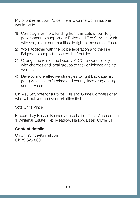My priorities as your Police Fire and Crime Commissioner would be to

- 1) Campaign for more funding from this cuts driven Tory government to support our Police and Fire Service' work with you, in our communities, to fight crime across Essex.
- 2) Work together with the police federation and the Fire Brigade to support those on the front line.
- 3) Change the role of the Deputy PFCC to work closely with charities and local groups to tackle violence against women.
- 4) Develop more effective strategies to fight back against gang violence, knife crime and county lines drug dealing across Essex.

On May 6th, vote for a Police, Fire and Crime Commissioner, who will put you and your priorities first.

Vote Chris Vince

Prepared by Russell Kennedy on behalf of Chris Vince both at 1 Whitehall Estate, Flex Meadow, Harlow, Essex CM19 5TP

### Contact details

CllrChrisVince@gmail.com 01279 625 860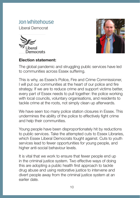### <span id="page-11-0"></span>**Jon Whitehouse**

Liberal Democrat





#### Election statement:

The global pandemic and struggling public services have led to communities across Essex suffering.

This is why, as Essex's Police, Fire and Crime Commissioner, I will put our communities at the heart of our police and fire strategy. If we are to reduce crime and support victims better, every part of Essex needs to pull together: the police working with local councils, voluntary organisations, and residents to tackle crime at the roots, not simply clean up afterwards.

We have seen too many police station closures in Essex. This undermines the ability of the police to effectively fight crime and help their communities.

Young people have been disproportionately hit by reductions to public services. Take the attempted cuts to Essex Libraries, which Essex Liberal Democrats fought against. Cuts to youth services lead to fewer opportunities for young people, and higher anti-social behaviour levels.

It is vital that we work to ensure that fewer people end up in the criminal justice system. Two effective ways of doing this are adopting a public health first approach to tackle drug abuse and using restorative justice to intervene and divert people away from the criminal justice system at an earlier date.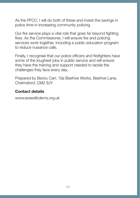As the PFCC, I will do both of these and invest the savings in police time in increasing community policing.

Our fire service plays a vital role that goes far beyond fighting fires. As the Commissioner, I will ensure fire and policing services work together, including a public education program to reduce nuisance calls.

Finally. I recognise that our police officers and firefighters have some of the toughest jobs in public service and will ensure they have the training and support needed to tackle the challenges they face every day.

Prepared by Becky Carr, 13a Beehive Works, Beehive Lane, Chelmsford, CM2 9JY

### Contact details

www.essexlibdems.org.uk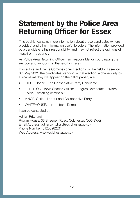# <span id="page-13-0"></span>Statement by the Police Area Returning Officer for Essex

This booklet contains more information about those candidates (where provided) and other information useful to voters. The information provided by a candidate is their responsibility, and may not reflect the opinions of myself or my council.

As Police Area Returning Officer I am responsible for coordinating the election and announcing the result in Essex.

Police, Fire and Crime Commissioner Elections will be held in Essex on 6th May 2021; the candidates standing in that election, alphabetically by surname (as they will appear on the ballot paper), are:

- HIRST, Roger The Conservative Party Candidate
- TILBROOK, Robin Charles William English Democrats "More Police – catching criminals!"
- VINCE, Chris Labour and Co-operative Party
- WHITEHOUSE, Jon Liberal Democrat

I can be contacted at:

Adrian Pritchard Rowan House, 33 Sheepen Road, Colchester, CO3 3WG Email Address: adrian.pritchard@colchester.gov.uk Phone Number: 01206282211 Web Address: www.colchester.gov.uk